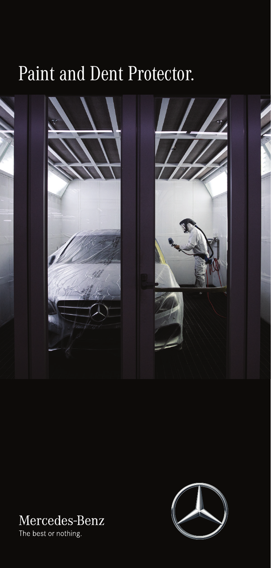## Paint and Dent Protector.



## Mercedes-Benz

The best or nothing.